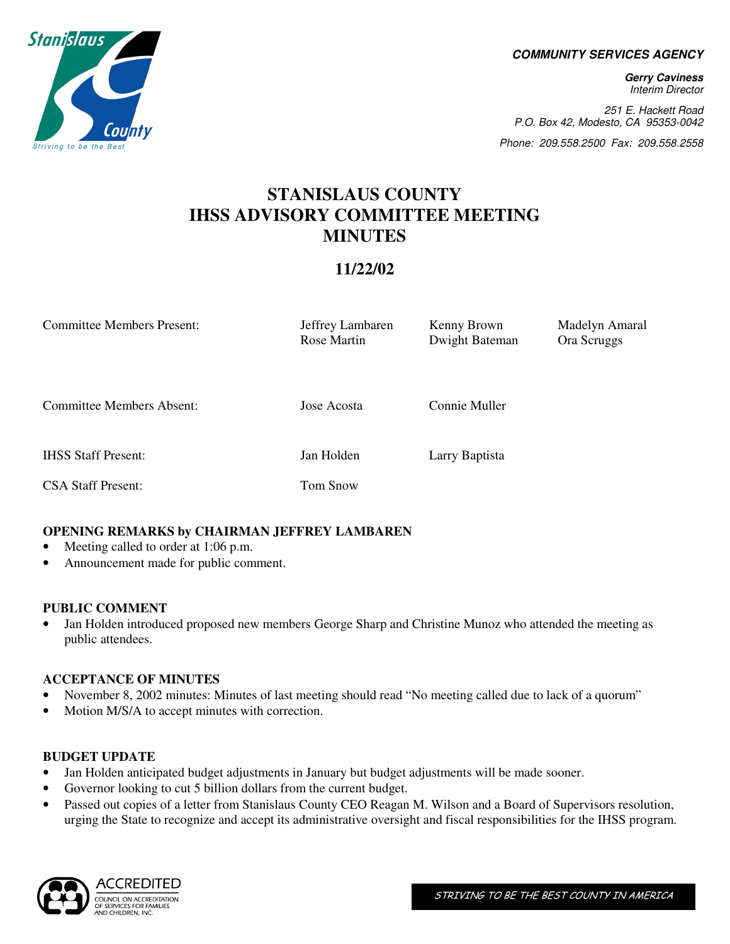**COMMUNITY SERVICES AGENCY** 

**Gerry Caviness**  Interim Director

251 E. Hackett Road P.O. Box 42, Modesto, CA 95353-0042

Phone: 209.558.2500 Fax: 209.558.2558

# **STANISLAUS COUNTY IHSS ADVISORY COMMITTEE MEETING MINUTES**

# **11/22/02**

| <b>Committee Members Present:</b> | Jeffrey Lambaren<br>Rose Martin | Kenny Brown<br>Dwight Bateman | Madelyn Amaral<br>Ora Scruggs |
|-----------------------------------|---------------------------------|-------------------------------|-------------------------------|
| <b>Committee Members Absent:</b>  | Jose Acosta                     | Connie Muller                 |                               |
| <b>IHSS Staff Present:</b>        | Jan Holden                      | Larry Baptista                |                               |
| <b>CSA Staff Present:</b>         | Tom Snow                        |                               |                               |

# **OPENING REMARKS by CHAIRMAN JEFFREY LAMBAREN**

- Meeting called to order at 1:06 p.m.
- Announcement made for public comment.

## **PUBLIC COMMENT**

• Jan Holden introduced proposed new members George Sharp and Christine Munoz who attended the meeting as public attendees.

# **ACCEPTANCE OF MINUTES**

- November 8, 2002 minutes: Minutes of last meeting should read "No meeting called due to lack of a quorum"
- Motion M/S/A to accept minutes with correction.

## **BUDGET UPDATE**

- Jan Holden anticipated budget adjustments in January but budget adjustments will be made sooner.
- Governor looking to cut 5 billion dollars from the current budget.
- Passed out copies of a letter from Stanislaus County CEO Reagan M. Wilson and a Board of Supervisors resolution, urging the State to recognize and accept its administrative oversight and fiscal responsibilities for the IHSS program.



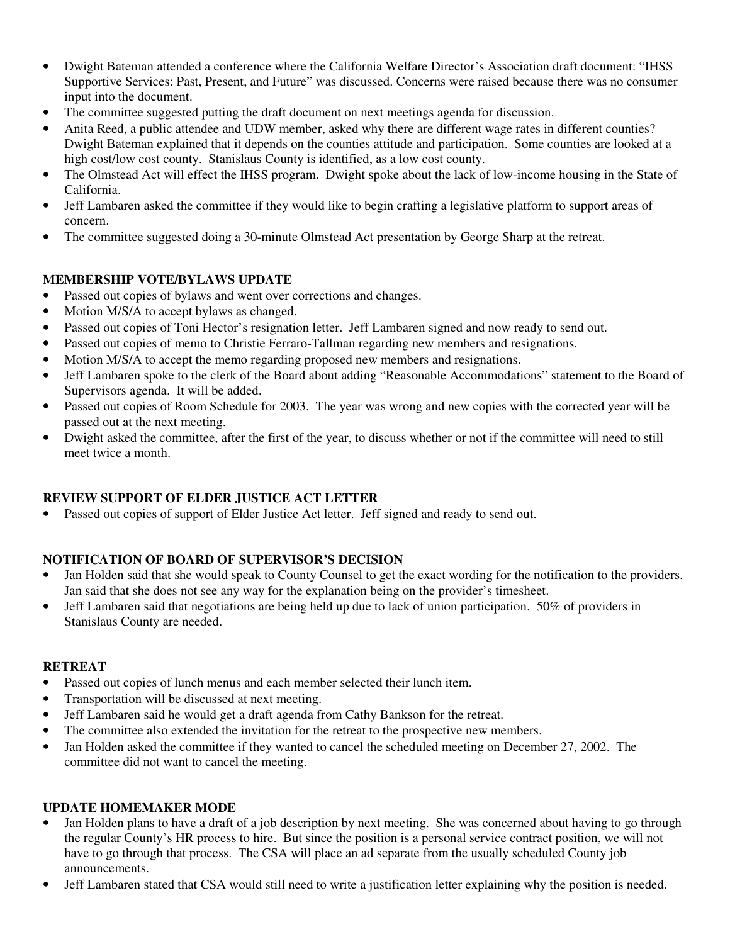- Dwight Bateman attended a conference where the California Welfare Director's Association draft document: "IHSS Supportive Services: Past, Present, and Future" was discussed. Concerns were raised because there was no consumer input into the document.
- The committee suggested putting the draft document on next meetings agenda for discussion.
- Anita Reed, a public attendee and UDW member, asked why there are different wage rates in different counties? Dwight Bateman explained that it depends on the counties attitude and participation. Some counties are looked at a high cost/low cost county. Stanislaus County is identified, as a low cost county.
- The Olmstead Act will effect the IHSS program. Dwight spoke about the lack of low-income housing in the State of California.
- Jeff Lambaren asked the committee if they would like to begin crafting a legislative platform to support areas of concern.
- The committee suggested doing a 30-minute Olmstead Act presentation by George Sharp at the retreat.

#### **MEMBERSHIP VOTE/BYLAWS UPDATE**

- Passed out copies of bylaws and went over corrections and changes.
- Motion M/S/A to accept bylaws as changed.
- Passed out copies of Toni Hector's resignation letter. Jeff Lambaren signed and now ready to send out.
- Passed out copies of memo to Christie Ferraro-Tallman regarding new members and resignations.
- Motion M/S/A to accept the memo regarding proposed new members and resignations.
- Jeff Lambaren spoke to the clerk of the Board about adding "Reasonable Accommodations" statement to the Board of Supervisors agenda. It will be added.
- Passed out copies of Room Schedule for 2003. The year was wrong and new copies with the corrected year will be passed out at the next meeting.
- Dwight asked the committee, after the first of the year, to discuss whether or not if the committee will need to still meet twice a month.

## **REVIEW SUPPORT OF ELDER JUSTICE ACT LETTER**

• Passed out copies of support of Elder Justice Act letter. Jeff signed and ready to send out.

## **NOTIFICATION OF BOARD OF SUPERVISOR'S DECISION**

- Jan Holden said that she would speak to County Counsel to get the exact wording for the notification to the providers. Jan said that she does not see any way for the explanation being on the provider's timesheet.
- Jeff Lambaren said that negotiations are being held up due to lack of union participation. 50% of providers in Stanislaus County are needed.

#### **RETREAT**

- Passed out copies of lunch menus and each member selected their lunch item.
- Transportation will be discussed at next meeting.
- Jeff Lambaren said he would get a draft agenda from Cathy Bankson for the retreat.
- The committee also extended the invitation for the retreat to the prospective new members.
- Jan Holden asked the committee if they wanted to cancel the scheduled meeting on December 27, 2002. The committee did not want to cancel the meeting.

#### **UPDATE HOMEMAKER MODE**

- Jan Holden plans to have a draft of a job description by next meeting. She was concerned about having to go through the regular County's HR process to hire. But since the position is a personal service contract position, we will not have to go through that process. The CSA will place an ad separate from the usually scheduled County job announcements.
- Jeff Lambaren stated that CSA would still need to write a justification letter explaining why the position is needed.